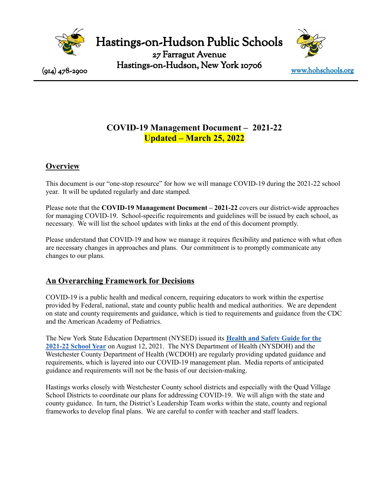

Hastings-on-Hudson Public Schools

27 Farragut Avenue Hastings-on-Hudson, New York 10706  $(914)$  478-2900  $\frac{1}{4}$  1  $\frac{1}{4}$  1  $\frac{1}{4}$  1  $\frac{1}{4}$  1  $\frac{1}{4}$  1  $\frac{1}{4}$  1  $\frac{1}{4}$  1  $\frac{1}{4}$  1  $\frac{1}{4}$  1  $\frac{1}{4}$  1  $\frac{1}{4}$  1  $\frac{1}{4}$  1  $\frac{1}{4}$  1  $\frac{1}{4}$  1  $\frac{1}{4}$  1  $\frac{1}{4}$  1  $\frac{1}{4}$  1



# **COVID-19 Management Document ‒ 2021-22 Updated ‒ March 25, 2022**

# **Overview**

This document is our "one-stop resource" for how we will manage COVID-19 during the 2021-22 school year. It will be updated regularly and date stamped.

Please note that the **COVID-19 Management Document ‒ 2021-22** covers our district-wide approaches for managing COVID-19. School-specific requirements and guidelines will be issued by each school, as necessary. We will list the school updates with links at the end of this document promptly.

Please understand that COVID-19 and how we manage it requires flexibility and patience with what often are necessary changes in approaches and plans. Our commitment is to promptly communicate any changes to our plans.

# **An Overarching Framework for Decisions**

COVID-19 is a public health and medical concern, requiring educators to work within the expertise provided by Federal, national, state and county public health and medical authorities. We are dependent on state and county requirements and guidance, which is tied to requirements and guidance from the CDC and the American Academy of Pediatrics.

The New York State Education Department (NYSED) issued its **[Health](http://www.nysed.gov/common/nysed/files/programs/back-school/nysed-health-and-safety-guide-for-the-2021-2022-school-year.pdf) and Safety Guide for the [2021-22](http://www.nysed.gov/common/nysed/files/programs/back-school/nysed-health-and-safety-guide-for-the-2021-2022-school-year.pdf) School Year** on August 12, 2021. The NYS Department of Health (NYSDOH) and the Westchester County Department of Health (WCDOH) are regularly providing updated guidance and requirements, which is layered into our COVID-19 management plan. Media reports of anticipated guidance and requirements will not be the basis of our decision-making.

Hastings works closely with Westchester County school districts and especially with the Quad Village School Districts to coordinate our plans for addressing COVID-19. We will align with the state and county guidance. In turn, the District's Leadership Team works within the state, county and regional frameworks to develop final plans. We are careful to confer with teacher and staff leaders.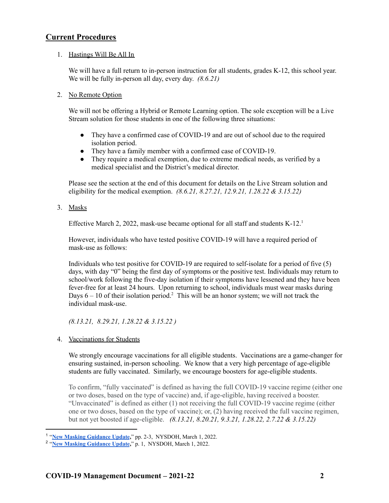## **Current Procedures**

#### 1. Hastings Will Be All In

We will have a full return to in-person instruction for all students, grades K-12, this school year. We will be fully in-person all day, every day. *(8.6.21)*

#### 2. No Remote Option

We will not be offering a Hybrid or Remote Learning option. The sole exception will be a Live Stream solution for those students in one of the following three situations:

- They have a confirmed case of COVID-19 and are out of school due to the required isolation period.
- They have a family member with a confirmed case of COVID-19.
- They require a medical exemption, due to extreme medical needs, as verified by a medical specialist and the District's medical director.

Please see the section at the end of this document for details on the Live Stream solution and eligibility for the medical exemption. *(8.6.21, 8.27.21, 12.9.21, 1.28.22 & 3.15.22)*

3. Masks

Effective March 2, 2022, mask-use became optional for all staff and students K-12.<sup>1</sup>

However, individuals who have tested positive COVID-19 will have a required period of mask-use as follows:

Individuals who test positive for COVID-19 are required to self-isolate for a period of five (5) days, with day "0" being the first day of symptoms or the positive test. Individuals may return to school/work following the five-day isolation if their symptoms have lessened and they have been fever-free for at least 24 hours. Upon returning to school, individuals must wear masks during Days  $6 - 10$  of their isolation period.<sup>2</sup> This will be an honor system; we will not track the individual mask-use.

*(8.13.21, 8.29.21, 1.28.22 & 3.15.22 )*

4. Vaccinations for Students

We strongly encourage vaccinations for all eligible students. Vaccinations are a game-changer for ensuring sustained, in-person schooling. We know that a very high percentage of age-eligible students are fully vaccinated. Similarly, we encourage boosters for age-eligible students.

To confirm, "fully vaccinated" is defined as having the full COVID-19 vaccine regime (either one or two doses, based on the type of vaccine) and, if age-eligible, having received a booster. "Unvaccinated" is defined as either (1) not receiving the full COVID-19 vaccine regime (either one or two doses, based on the type of vaccine); or, (2) having received the full vaccine regimen, but not yet boosted if age-eligible. *(8.13.21, 8.20.21, 9.3.21, 1.28.22, 2.7.22 & 3.15.22)*

<sup>1</sup> "**[New Masking Guidance Update](https://coronavirus.health.ny.gov/system/files/documents/2022/03/school-guidance-03.01.22_0.pdf),**" pp. 2-3, NYSDOH, March 1, 2022.

<sup>2</sup> "**[New Masking Guidance Update](https://coronavirus.health.ny.gov/system/files/documents/2022/03/school-guidance-03.01.22_0.pdf),**" p. 1, NYSDOH, March 1, 2022.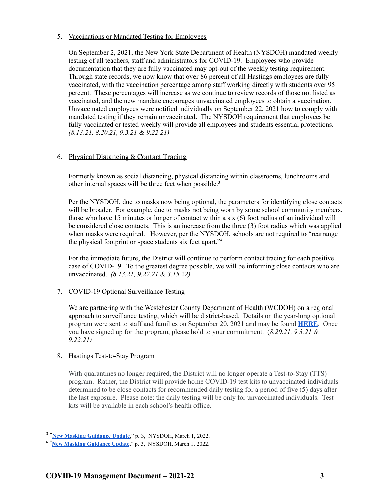#### 5. Vaccinations or Mandated Testing for Employees

On September 2, 2021, the New York State Department of Health (NYSDOH) mandated weekly testing of all teachers, staff and administrators for COVID-19. Employees who provide documentation that they are fully vaccinated may opt-out of the weekly testing requirement. Through state records, we now know that over 86 percent of all Hastings employees are fully vaccinated, with the vaccination percentage among staff working directly with students over 95 percent. These percentages will increase as we continue to review records of those not listed as vaccinated, and the new mandate encourages unvaccinated employees to obtain a vaccination. Unvaccinated employees were notified individually on September 22, 2021 how to comply with mandated testing if they remain unvaccinated. The NYSDOH requirement that employees be fully vaccinated or tested weekly will provide all employees and students essential protections. *(8.13.21, 8.20.21, 9.3.21 & 9.22.21)*

### 6. Physical Distancing & Contact Tracing

Formerly known as social distancing, physical distancing within classrooms, lunchrooms and other internal spaces will be three feet when possible. 3

Per the NYSDOH, due to masks now being optional, the parameters for identifying close contacts will be broader. For example, due to masks not being worn by some school community members, those who have 15 minutes or longer of contact within a six (6) foot radius of an individual will be considered close contacts. This is an increase from the three (3) foot radius which was applied when masks were required. However, per the NYSDOH, schools are not required to "rearrange the physical footprint or space students six feet apart." 4

For the immediate future, the District will continue to perform contact tracing for each positive case of COVID-19. To the greatest degree possible, we will be informing close contacts who are unvaccinated. *(8.13.21, 9.22.21 & 3.15.22)*

### 7. COVID-19 Optional Surveillance Testing

We are partnering with the Westchester County Department of Health (WCDOH) on a regional approach to surveillance testing, which will be district-based. Details on the year-long optional program were sent to staff and families on September 20, 2021 and may be found **[HERE](https://myemail.constantcontact.com/Important-Surveillance-Testing-Information.html?soid=1116660112640&aid=AzmqRH1kiKw)**. Once you have signed up for the program, please hold to your commitment. (*8.20.21, 9.3.21 & 9.22.21)*

#### 8. Hastings Test-to-Stay Program

With quarantines no longer required, the District will no longer operate a Test-to-Stay (TTS) program. Rather, the District will provide home COVID-19 test kits to unvaccinated individuals determined to be close contacts for recommended daily testing for a period of five (5) days after the last exposure. Please note: the daily testing will be only for unvaccinated individuals. Test kits will be available in each school's health office.

<sup>&</sup>lt;sup>3</sup> "[New Masking Guidance Update,](https://coronavirus.health.ny.gov/system/files/documents/2022/03/school-guidance-03.01.22_0.pdf)" p. 3, NYSDOH, March 1, 2022.

<sup>4</sup> "**[New Masking Guidance Update](https://coronavirus.health.ny.gov/system/files/documents/2022/03/school-guidance-03.01.22_0.pdf),**" p. 3, NYSDOH, March 1, 2022.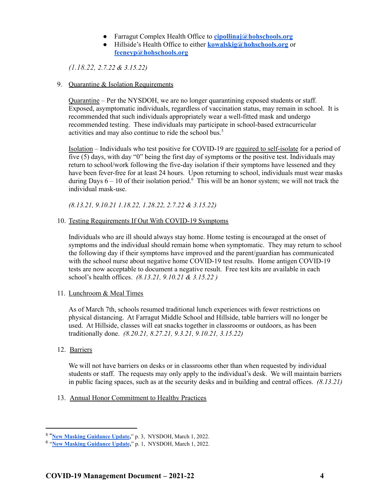- Farragut Complex Health Office to **[cipollinaj@hohschools.org](mailto:cipollinaj@hohschools.org)**
- Hillside's Health Office to either **[kowalskig@hohschools.org](mailto:kowalskig@hohschools.org)** or **[feeneyp@hohschools.org](mailto:feeneyp@hohschools.org)**

*(1.18.22, 2.7.22 & 3.15.22)*

#### 9. Quarantine & Isolation Requirements

Quarantine – Per the NYSDOH, we are no longer quarantining exposed students or staff. Exposed, asymptomatic individuals, regardless of vaccination status, may remain in school. It is recommended that such individuals appropriately wear a well-fitted mask and undergo recommended testing. These individuals may participate in school-based extracurricular activities and may also continue to ride the school bus. 5

Isolation – Individuals who test positive for COVID-19 are required to self-isolate for a period of five (5) days, with day "0" being the first day of symptoms or the positive test. Individuals may return to school/work following the five-day isolation if their symptoms have lessened and they have been fever-free for at least 24 hours. Upon returning to school, individuals must wear masks during Days  $6 - 10$  of their isolation period.<sup>6</sup> This will be an honor system; we will not track the individual mask-use.

*(8.13.21, 9.10.21 1.18.22, 1.28.22, 2.7.22 & 3.15.22)*

#### 10. Testing Requirements If Out With COVID-19 Symptoms

Individuals who are ill should always stay home. Home testing is encouraged at the onset of symptoms and the individual should remain home when symptomatic. They may return to school the following day if their symptoms have improved and the parent/guardian has communicated with the school nurse about negative home COVID-19 test results. Home antigen COVID-19 tests are now acceptable to document a negative result. Free test kits are available in each school's health offices. *(8.13.21, 9.10.21 & 3.15.22 )*

11. Lunchroom & Meal Times

As of March 7th, schools resumed traditional lunch experiences with fewer restrictions on physical distancing. At Farragut Middle School and Hillside, table barriers will no longer be used. At Hillside, classes will eat snacks together in classrooms or outdoors, as has been traditionally done. *(8.20.21, 8.27.21, 9.3.21, 9.10.21, 3.15.22)*

#### 12. Barriers

We will not have barriers on desks or in classrooms other than when requested by individual students or staff. The requests may only apply to the individual's desk. We will maintain barriers in public facing spaces, such as at the security desks and in building and central offices. *(8.13.21)*

13. Annual Honor Commitment to Healthy Practices

<sup>5</sup> "**[New Masking Guidance Update](https://coronavirus.health.ny.gov/system/files/documents/2022/03/school-guidance-03.01.22_0.pdf),**" p. 3, NYSDOH, March 1, 2022.

<sup>6</sup> "**[New Masking Guidance Update](https://coronavirus.health.ny.gov/system/files/documents/2022/03/school-guidance-03.01.22_0.pdf),**" p. 1, NYSDOH, March 1, 2022.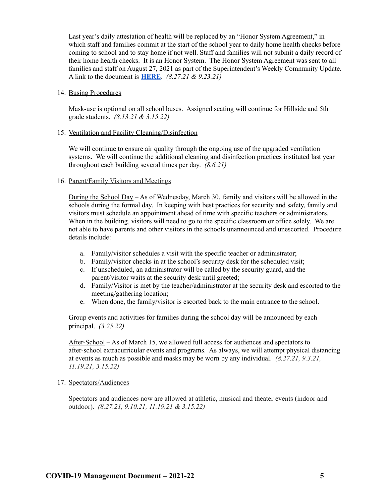Last year's daily attestation of health will be replaced by an "Honor System Agreement," in which staff and families commit at the start of the school year to daily home health checks before coming to school and to stay home if not well. Staff and families will not submit a daily record of their home health checks. It is an Honor System. The Honor System Agreement was sent to all families and staff on August 27, 2021 as part of the Superintendent's Weekly Community Update. A link to the document is **[HERE](https://www.hohschools.org/cms/lib/NY01913703/Centricity/Domain/134/9-23-21%20Shared%20Commitment%20to%20Health%20and%20Well-Being.pdf)**. *(8.27.21 & 9.23.21)*

#### 14. Busing Procedures

Mask-use is optional on all school buses. Assigned seating will continue for Hillside and 5th grade students. *(8.13.21 & 3.15.22)*

#### 15. Ventilation and Facility Cleaning/Disinfection

We will continue to ensure air quality through the ongoing use of the upgraded ventilation systems. We will continue the additional cleaning and disinfection practices instituted last year throughout each building several times per day. *(8.6.21)*

#### 16. Parent/Family Visitors and Meetings

During the School Day – As of Wednesday, March 30, family and visitors will be allowed in the schools during the formal day. In keeping with best practices for security and safety, family and visitors must schedule an appointment ahead of time with specific teachers or administrators. When in the building, visitors will need to go to the specific classroom or office solely. We are not able to have parents and other visitors in the schools unannounced and unescorted. Procedure details include:

- a. Family/visitor schedules a visit with the specific teacher or administrator;
- b. Family/visitor checks in at the school's security desk for the scheduled visit;
- c. If unscheduled, an administrator will be called by the security guard, and the parent/visitor waits at the security desk until greeted;
- d. Family/Visitor is met by the teacher/administrator at the security desk and escorted to the meeting/gathering location;
- e. When done, the family/visitor is escorted back to the main entrance to the school.

Group events and activities for families during the school day will be announced by each principal. *(3.25.22)*

After-School – As of March 15, we allowed full access for audiences and spectators to after-school extracurricular events and programs. As always, we will attempt physical distancing at events as much as possible and masks may be worn by any individual. *(8.27.21, 9.3.21, 11.19.21, 3.15.22)*

#### 17. Spectators/Audiences

Spectators and audiences now are allowed at athletic, musical and theater events (indoor and outdoor). *(8.27.21, 9.10.21, 11.19.21 & 3.15.22)*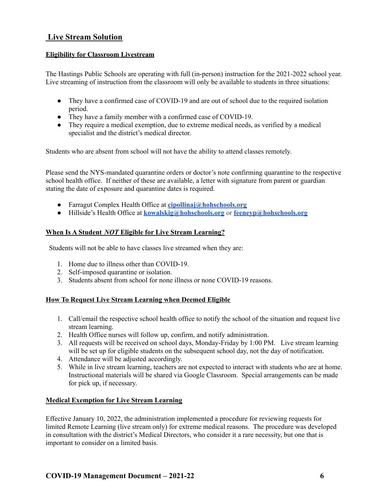# **Live Stream Solution**

#### **Eligibility for Classroom Livestream**

The Hastings Public Schools are operating with full (in-person) instruction for the 2021-2022 school year. Live streaming of instruction from the classroom will only be available to students in three situations:

- They have a confirmed case of COVID-19 and are out of school due to the required isolation period.
- They have a family member with a confirmed case of COVID-19.
- They require a medical exemption, due to extreme medical needs, as verified by a medical specialist and the district's medical director.

Students who are absent from school will not have the ability to attend classes remotely.

Please send the NYS-mandated quarantine orders or doctor's note confirming quarantine to the respective school health office. If neither of these are available, a letter with signature from parent or guardian stating the date of exposure and quarantine dates is required.

- Farragut Complex Health Office at **[cipollinaj@hohschools.org](mailto:cipollinaj@hohschools.org)**
- Hillside's Health Office at **[kowalskig@hohschools.org](mailto:kowalskig@hohschools.org)** or **[feeneyp@hohschools.org](mailto:feeneyp@hohschools.org)**

#### **When Is A Student** *NOT* **Eligible for Live Stream Learning?**

Students will not be able to have classes live streamed when they are:

- 1. Home due to illness other than COVID-19.
- 2. Self-imposed quarantine or isolation.
- 3. Students absent from school for none illness or none COVID-19 reasons.

#### **How To Request Live Stream Learning when Deemed Eligible**

- 1. Call/email the respective school health office to notify the school of the situation and request live stream learning.
- 2. Health Office nurses will follow up, confirm, and notify administration.
- 3. All requests will be received on school days, Monday-Friday by 1:00 PM. Live stream learning will be set up for eligible students on the subsequent school day, not the day of notification.
- 4. Attendance will be adjusted accordingly.
- 5. While in live stream learning, teachers are not expected to interact with students who are at home. Instructional materials will be shared via Google Classroom. Special arrangements can be made for pick up, if necessary.

## **Medical Exemption for Live Stream Learning**

Effective January 10, 2022, the administration implemented a procedure for reviewing requests for limited Remote Learning (live stream only) for extreme medical reasons. The procedure was developed in consultation with the district's Medical Directors, who consider it a rare necessity, but one that is important to consider on a limited basis.